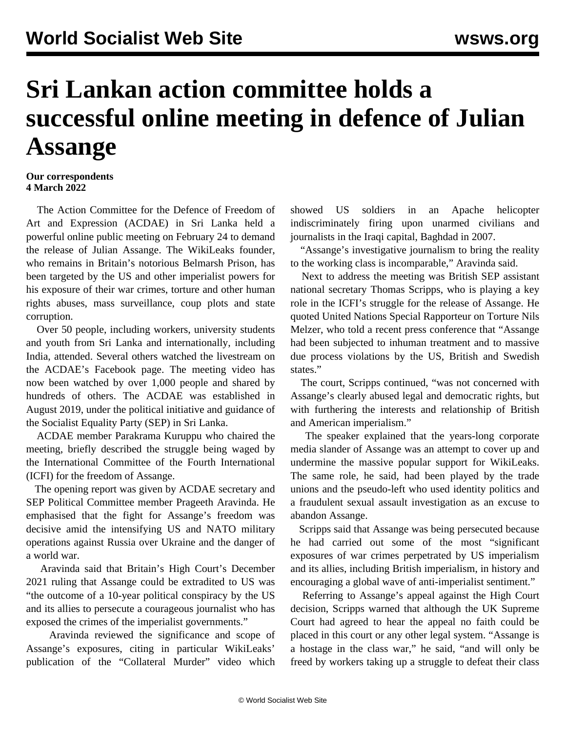## **Sri Lankan action committee holds a successful online meeting in defence of Julian Assange**

## **Our correspondents 4 March 2022**

 The Action Committee for the Defence of Freedom of Art and Expression (ACDAE) in Sri Lanka held a powerful online public meeting on February 24 to demand the release of Julian Assange. The WikiLeaks founder, who remains in Britain's notorious Belmarsh Prison, has been targeted by the US and other imperialist powers for his exposure of their war crimes, torture and other human rights abuses, mass surveillance, coup plots and state corruption.

 Over 50 people, including workers, university students and youth from Sri Lanka and internationally, including India, attended. Several others watched the livestream on the ACDAE's Facebook page. The meeting video has now been watched by over 1,000 people and shared by hundreds of others. The ACDAE was established in August 2019, under the political initiative and guidance of the Socialist Equality Party (SEP) in Sri Lanka.

 ACDAE member Parakrama Kuruppu who chaired the meeting, briefly described the struggle being waged by the International Committee of the Fourth International (ICFI) for the freedom of Assange.

 The opening report was given by ACDAE secretary and SEP Political Committee member Prageeth Aravinda. He emphasised that the fight for Assange's freedom was decisive amid the intensifying US and NATO military operations against Russia over Ukraine and the danger of a world war.

 Aravinda said that Britain's High Court's December 2021 ruling that Assange could be extradited to US was "the outcome of a 10-year political conspiracy by the US and its allies to persecute a courageous journalist who has exposed the crimes of the imperialist governments."

 Aravinda reviewed the significance and scope of Assange's exposures, citing in particular WikiLeaks' publication of the "Collateral Murder" video which showed US soldiers in an Apache helicopter indiscriminately firing upon unarmed civilians and journalists in the Iraqi capital, Baghdad in 2007.

 "Assange's investigative journalism to bring the reality to the working class is incomparable," Aravinda said.

 Next to address the meeting was British SEP assistant national secretary Thomas Scripps, who is playing a key role in the ICFI's struggle for the release of Assange. He quoted United Nations Special Rapporteur on Torture Nils Melzer, who told a recent press conference that "Assange had been subjected to inhuman treatment and to massive due process violations by the US, British and Swedish states."

 The court, Scripps continued, "was not concerned with Assange's clearly abused legal and democratic rights, but with furthering the interests and relationship of British and American imperialism."

 The speaker explained that the years-long corporate media slander of Assange was an attempt to cover up and undermine the massive popular support for WikiLeaks. The same role, he said, had been played by the trade unions and the pseudo-left who used identity politics and a fraudulent sexual assault investigation as an excuse to abandon Assange.

 Scripps said that Assange was being persecuted because he had carried out some of the most "significant exposures of war crimes perpetrated by US imperialism and its allies, including British imperialism, in history and encouraging a global wave of anti-imperialist sentiment."

 Referring to Assange's appeal against the High Court decision, Scripps warned that although the UK Supreme Court had agreed to hear the appeal no faith could be placed in this court or any other legal system. "Assange is a hostage in the class war," he said, "and will only be freed by workers taking up a struggle to defeat their class